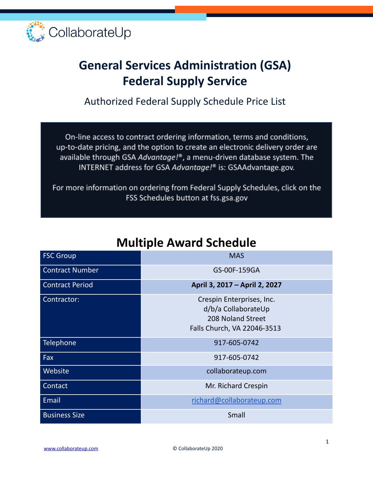

# **General Services Administration (GSA) Federal Supply Service**

Authorized Federal Supply Schedule Price List

On-line access to contract ordering information, terms and conditions, up-to-date pricing, and the option to create an electronic delivery order are available through GSA Advantage!®, a menu-driven database system. The INTERNET address for GSA Advantage!® is: GSAAdvantage.gov.

For more information on ordering from Federal Supply Schedules, click on the FSS Schedules button at fss.gsa.gov

| <b>FSC Group</b>       | <b>MAS</b>                                                                                           |
|------------------------|------------------------------------------------------------------------------------------------------|
| <b>Contract Number</b> | GS-00F-159GA                                                                                         |
| <b>Contract Period</b> | April 3, 2017 - April 2, 2027                                                                        |
| Contractor:            | Crespin Enterprises, Inc.<br>d/b/a CollaborateUp<br>208 Noland Street<br>Falls Church, VA 22046-3513 |
| Telephone              | 917-605-0742                                                                                         |
| Fax                    | 917-605-0742                                                                                         |
| Website                | collaborateup.com                                                                                    |
| Contact                | Mr. Richard Crespin                                                                                  |
| Email                  | richard@collaborateup.com                                                                            |
| <b>Business Size</b>   | Small                                                                                                |

### **Multiple Award Schedule**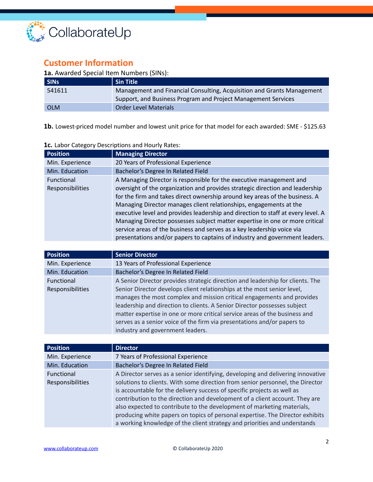

### **Customer Information**

#### **1a.** Awarded Special Item Numbers (SINs):

| <b>SINS</b> | Sin Title                                                              |
|-------------|------------------------------------------------------------------------|
| 541611      | Management and Financial Consulting, Acquisition and Grants Management |
|             | Support, and Business Program and Project Management Services          |
| <b>OLM</b>  | <b>Order Level Materials</b>                                           |

**1b.** Lowest-priced model number and lowest unit price for that model for each awarded: SME - \$125.63

| <b>Position</b>                              | <b>Managing Director</b>                                                                                                                                                                                                                                                                                                                                                                                                                                                                                                                                                                                                               |
|----------------------------------------------|----------------------------------------------------------------------------------------------------------------------------------------------------------------------------------------------------------------------------------------------------------------------------------------------------------------------------------------------------------------------------------------------------------------------------------------------------------------------------------------------------------------------------------------------------------------------------------------------------------------------------------------|
| Min. Experience                              | 20 Years of Professional Experience                                                                                                                                                                                                                                                                                                                                                                                                                                                                                                                                                                                                    |
| Min. Education                               | Bachelor's Degree In Related Field                                                                                                                                                                                                                                                                                                                                                                                                                                                                                                                                                                                                     |
| <b>Functional</b><br><b>Responsibilities</b> | A Managing Director is responsible for the executive management and<br>oversight of the organization and provides strategic direction and leadership<br>for the firm and takes direct ownership around key areas of the business. A<br>Managing Director manages client relationships, engagements at the<br>executive level and provides leadership and direction to staff at every level. A<br>Managing Director possesses subject matter expertise in one or more critical<br>service areas of the business and serves as a key leadership voice via<br>presentations and/or papers to captains of industry and government leaders. |

#### **1c.** Labor Category Descriptions and Hourly Rates:

| <b>Position</b>   | <b>Senior Director</b>                                                         |
|-------------------|--------------------------------------------------------------------------------|
| Min. Experience   | 13 Years of Professional Experience                                            |
| Min. Education    | Bachelor's Degree In Related Field                                             |
| <b>Functional</b> | A Senior Director provides strategic direction and leadership for clients. The |
| Responsibilities  | Senior Director develops client relationships at the most senior level,        |
|                   | manages the most complex and mission critical engagements and provides         |
|                   | leadership and direction to clients. A Senior Director possesses subject       |
|                   | matter expertise in one or more critical service areas of the business and     |
|                   | serves as a senior voice of the firm via presentations and/or papers to        |
|                   | industry and government leaders.                                               |

| <b>Position</b>         | <b>Director</b>                                                                 |
|-------------------------|---------------------------------------------------------------------------------|
| Min. Experience         | 7 Years of Professional Experience                                              |
| Min. Education          | Bachelor's Degree In Related Field                                              |
| <b>Functional</b>       | A Director serves as a senior identifying, developing and delivering innovative |
| <b>Responsibilities</b> | solutions to clients. With some direction from senior personnel, the Director   |
|                         | is accountable for the delivery success of specific projects as well as         |
|                         | contribution to the direction and development of a client account. They are     |
|                         | also expected to contribute to the development of marketing materials,          |
|                         | producing white papers on topics of personal expertise. The Director exhibits   |
|                         | a working knowledge of the client strategy and priorities and understands       |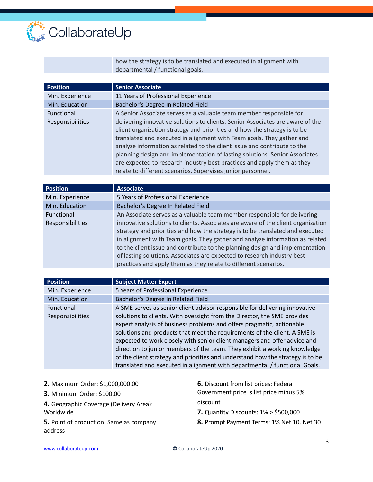

how the strategy is to be translated and executed in alignment with departmental / functional goals.

| <b>Position</b>                       | <b>Senior Associate</b>                                                                                                                                                                                                                                                                                                                                                                                                                                                                                                                                                                                         |
|---------------------------------------|-----------------------------------------------------------------------------------------------------------------------------------------------------------------------------------------------------------------------------------------------------------------------------------------------------------------------------------------------------------------------------------------------------------------------------------------------------------------------------------------------------------------------------------------------------------------------------------------------------------------|
| Min. Experience                       | 11 Years of Professional Experience                                                                                                                                                                                                                                                                                                                                                                                                                                                                                                                                                                             |
| Min. Education                        | Bachelor's Degree In Related Field                                                                                                                                                                                                                                                                                                                                                                                                                                                                                                                                                                              |
| <b>Functional</b><br>Responsibilities | A Senior Associate serves as a valuable team member responsible for<br>delivering innovative solutions to clients. Senior Associates are aware of the<br>client organization strategy and priorities and how the strategy is to be<br>translated and executed in alignment with Team goals. They gather and<br>analyze information as related to the client issue and contribute to the<br>planning design and implementation of lasting solutions. Senior Associates<br>are expected to research industry best practices and apply them as they<br>relate to different scenarios. Supervises junior personnel. |
|                                       |                                                                                                                                                                                                                                                                                                                                                                                                                                                                                                                                                                                                                 |

| <b>Position</b>   | <b>Associate</b>                                                                 |
|-------------------|----------------------------------------------------------------------------------|
| Min. Experience   | 5 Years of Professional Experience                                               |
| Min. Education    | Bachelor's Degree In Related Field                                               |
| <b>Functional</b> | An Associate serves as a valuable team member responsible for delivering         |
| Responsibilities  | innovative solutions to clients. Associates are aware of the client organization |
|                   | strategy and priorities and how the strategy is to be translated and executed    |
|                   | in alignment with Team goals. They gather and analyze information as related     |
|                   | to the client issue and contribute to the planning design and implementation     |
|                   | of lasting solutions. Associates are expected to research industry best          |
|                   | practices and apply them as they relate to different scenarios.                  |

| <b>Position</b>                       | <b>Subject Matter Expert</b>                                                                                                                                                                                                                                                                                                                                                                                                                                                                                                                                                                                                            |
|---------------------------------------|-----------------------------------------------------------------------------------------------------------------------------------------------------------------------------------------------------------------------------------------------------------------------------------------------------------------------------------------------------------------------------------------------------------------------------------------------------------------------------------------------------------------------------------------------------------------------------------------------------------------------------------------|
| Min. Experience                       | 5 Years of Professional Experience                                                                                                                                                                                                                                                                                                                                                                                                                                                                                                                                                                                                      |
| Min. Education                        | Bachelor's Degree In Related Field                                                                                                                                                                                                                                                                                                                                                                                                                                                                                                                                                                                                      |
| <b>Functional</b><br>Responsibilities | A SME serves as senior client advisor responsible for delivering innovative<br>solutions to clients. With oversight from the Director, the SME provides<br>expert analysis of business problems and offers pragmatic, actionable<br>solutions and products that meet the requirements of the client. A SME is<br>expected to work closely with senior client managers and offer advice and<br>direction to junior members of the team. They exhibit a working knowledge<br>of the client strategy and priorities and understand how the strategy is to be<br>translated and executed in alignment with departmental / functional Goals. |

| 2. Maximum Order: \$1,000,000.00                   | <b>6.</b> Discount from list prices: Federal   |
|----------------------------------------------------|------------------------------------------------|
| 3. Minimum Order: \$100.00                         | Government price is list price minus 5%        |
| 4. Geographic Coverage (Delivery Area):            | discount                                       |
| Worldwide                                          | <b>7.</b> Quantity Discounts: $1\% > $500,000$ |
| 5. Point of production: Same as company<br>address | 8. Prompt Payment Terms: 1% Net 10, Net 30     |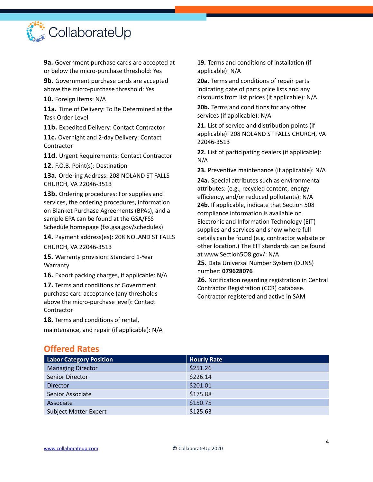

**9a.** Government purchase cards are accepted at or below the micro-purchase threshold: Yes

**9b.** Government purchase cards are accepted above the micro-purchase threshold: Yes

**10.** Foreign Items: N/A

**11a.** Time of Delivery: To Be Determined at the Task Order Level

**11b.** Expedited Delivery: Contact Contractor

**11c.** Overnight and 2-day Delivery: Contact **Contractor** 

**11d.** Urgent Requirements: Contact Contractor

**12.** F.O.B. Point(s): Destination

**13a.** Ordering Address: 208 NOLAND ST FALLS CHURCH, VA 22046-3513

**13b.** Ordering procedures: For supplies and services, the ordering procedures, information on Blanket Purchase Agreements (BPAs), and a sample EPA can be found at the GSA/FSS Schedule homepage (fss.gsa.gov/schedules)

**14.** Payment address(es): 208 NOLAND ST FALLS

CHURCH, VA 22046-3513

**15.** Warranty provision: Standard 1-Year Warranty

**16.** Export packing charges, if applicable: N/A

**17.** Terms and conditions of Government purchase card acceptance (any thresholds above the micro-purchase level): Contact **Contractor** 

**18.** Terms and conditions of rental,

maintenance, and repair (if applicable): N/A

**19.** Terms and conditions of installation (if applicable): N/A

**20a.** Terms and conditions of repair parts indicating date of parts price lists and any discounts from list prices (if applicable): N/A

**20b.** Terms and conditions for any other services (if applicable): N/A

**21.** List of service and distribution points (if applicable): 208 NOLAND ST FALLS CHURCH, VA 22046-3513

**22.** List of participating dealers (if applicable): N/A

**23.** Preventive maintenance (if applicable): N/A

**24a.** Special attributes such as environmental attributes: (e.g., recycled content, energy efficiency, and/or reduced pollutants): N/A **24b.** If applicable, indicate that Section 508 compliance information is available on Electronic and Information Technology (EIT) supplies and services and show where full details can be found (e.g. contractor website or other location.) The EIT standards can be found at www.Section5O8.gov/: N/A

**25.** Data Universal Number System (DUNS) number: **079628076**

**26.** Notification regarding registration in Central Contractor Registration (CCR) database. Contractor registered and active in SAM

| <b>Labor Category Position</b> | <b>Hourly Rate</b> |
|--------------------------------|--------------------|
| <b>Managing Director</b>       | \$251.26           |
| Senior Director                | \$226.14           |
| <b>Director</b>                | \$201.01           |
| Senior Associate               | \$175.88           |
| Associate                      | \$150.75           |
| <b>Subject Matter Expert</b>   | \$125.63           |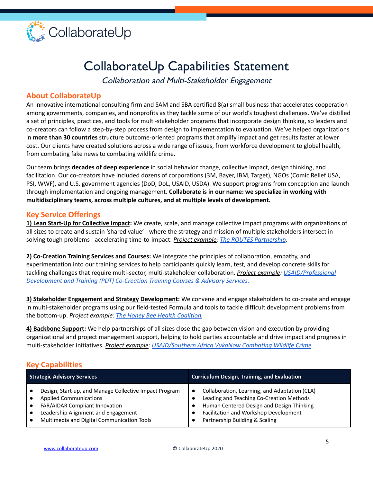

# CollaborateUp Capabilities Statement

Collaboration and Multi-Stakeholder Engagement

#### **About CollaborateUp**

An innovative international consulting firm and SAM and SBA certified 8(a) small business that accelerates cooperation among governments, companies, and nonprofits as they tackle some of our world's toughest challenges. We've distilled a set of principles, practices, and tools for multi-stakeholder programs that incorporate design thinking, so leaders and co-creators can follow a step-by-step process from design to implementation to evaluation. We've helped organizations in **more than 30 countries** structure outcome-oriented programs that amplify impact and get results faster at lower cost. Our clients have created solutions across a wide range of issues, from workforce development to global health, from combating fake news to combating wildlife crime.

Our team brings **decades of deep experience** in social behavior change, collective impact, design thinking, and facilitation. Our co-creators have included dozens of corporations (3M, Bayer, IBM, Target), NGOs (Comic Relief USA, PSI, WWF), and U.S. government agencies (DoD, DoL, USAID, USDA). We support programs from conception and launch through implementation and ongoing management. **Collaborate is in our name: we specialize in working with multidisciplinary teams, across multiple cultures, and at multiple levels of development.**

#### **Key Service Offerings**

**1) Lean Start-Up for Collective Impact:** We create, scale, and manage collective impact programs with organizations of all sizes to create and sustain 'shared value' - where the strategy and mission of multiple stakeholders intersect in solving tough problems - accelerating time-to-impact. *Project example: The ROUTES [Partnership](https://routespartnership.org).*

**2) Co-Creation Training Services and Courses:** We integrate the principles of collaboration, empathy, and experimentation into our training services to help participants quickly learn, test, and develop concrete skills for tackling challenges that require multi-sector, multi-stakeholder collaboration. *Project example: [USAID/Professional](https://collaborateup.com/usaid-professional-development-and-training-pdt-co-creation-training-advisory-services-courses/) [Development](https://collaborateup.com/usaid-professional-development-and-training-pdt-co-creation-training-advisory-services-courses/) and Training (PDT) Co-Creation Training Courses & Advisory Services.*

**3) Stakeholder Engagement and Strategy Development:** We convene and engage stakeholders to co-create and engage in multi-stakeholder programs using our field-tested Formula and tools to tackle difficult development problems from the bottom-up. *Project example: The Honey Bee Health [Coalition.](https://honeybeehealthcoalition.org)*

**4) Backbone Support:** We help partnerships of all sizes close the gap between vision and execution by providing organizational and project management support, helping to hold parties accountable and drive impact and progress in multi-stakeholder initiatives. *Project example: [USAID/Southern](https://collaborateup.com/vukanow-combating-wildlife-crime/) Africa VukaNow Combating Wildlife Crime*.

#### **Key Capabilities**

| <b>Strategic Advisory Services</b>                     | <b>Curriculum Design, Training, and Evaluation</b> |
|--------------------------------------------------------|----------------------------------------------------|
| Design, Start-up, and Manage Collective Impact Program | Collaboration, Learning, and Adaptation (CLA)      |
| <b>Applied Communications</b>                          | Leading and Teaching Co-Creation Methods           |
| FAR/AIDAR Compliant Innovation                         | Human Centered Design and Design Thinking          |
| Leadership Alignment and Engagement                    | Facilitation and Workshop Development              |
| Multimedia and Digital Communication Tools             | Partnership Building & Scaling                     |